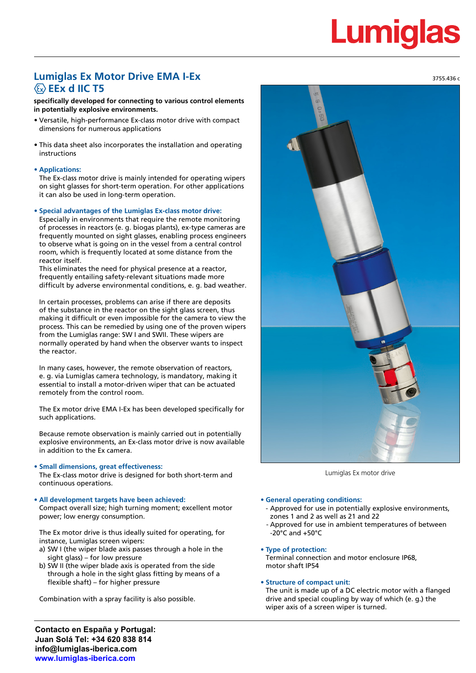## **Lumigla**

### **Lumiglas Ex Motor Drive EMA I-Ex**  $\langle \mathbf{E} \rangle$  **EEx d IIC T5**

**specifically developed for connecting to various control elements in potentially explosive environments.**

- Versatile, high-performance Ex-class motor drive with compact dimensions for numerous applications
- This data sheet also incorporates the installation and operating instructions

#### **• Applications:**

The Ex-class motor drive is mainly intended for operating wipers on sight glasses for short-term operation. For other applications it can also be used in long-term operation.

**• Special advantages of the Lumiglas Ex-class motor drive:**

Especially in environments that require the remote monitoring of processes in reactors (e. g. biogas plants), ex-type cameras are frequently mounted on sight glasses, enabling process engineers to observe what is going on in the vessel from a central control room, which is frequently located at some distance from the reactor itself.

This eliminates the need for physical presence at a reactor, frequently entailing safety-relevant situations made more difficult by adverse environmental conditions, e. g. bad weather.

In certain processes, problems can arise if there are deposits of the substance in the reactor on the sight glass screen, thus making it difficult or even impossible for the camera to view the process. This can be remedied by using one of the proven wipers from the Lumiglas range: SW I and SWII. These wipers are normally operated by hand when the observer wants to inspect the reactor.

In many cases, however, the remote observation of reactors, e. g. via Lumiglas camera technology, is mandatory, making it essential to install a motor-driven wiper that can be actuated remotely from the control room.

The Ex motor drive EMA I-Ex has been developed specifically for such applications.

Because remote observation is mainly carried out in potentially explosive environments, an Ex-class motor drive is now available in addition to the Ex camera.

#### • **Small dimensions, great effectiveness:**

The Ex-class motor drive is designed for both short-term and continuous operations.

#### **• All development targets have been achieved:**

Compact overall size; high turning moment; excellent motor power; low energy consumption.

The Ex motor drive is thus ideally suited for operating, for instance, Lumiglas screen wipers:

- a) SW I (the wiper blade axis passes through a hole in the sight glass) – for low pressure
- b) SW II (the wiper blade axis is operated from the side through a hole in the sight glass fitting by means of a flexible shaft) – for higher pressure

Combination with a spray facility is also possible.



Lumiglas Ex motor drive

#### **• General operating conditions:**

- Approved for use in potentially explosive environments, zones 1 and 2 as well as 21 and 22
- Approved for use in ambient temperatures of between -20°C and +50°C
- **• Type of protection:** Terminal connection and motor enclosure IP68, motor shaft IP54

#### **• Structure of compact unit:**

The unit is made up of a DC electric motor with a flanged drive and special coupling by way of which (e. g.) the wiper axis of a screen wiper is turned.

3755.436 c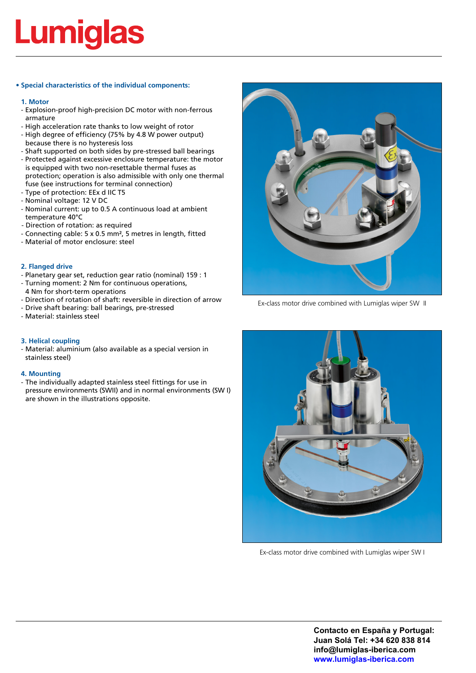# **Lumiglas**

**• Special characteristics of the individual components:**

#### **1. Motor**

- Explosion-proof high-precision DC motor with non-ferrous armature
- High acceleration rate thanks to low weight of rotor
- High degree of efficiency (75% by 4.8 W power output) because there is no hysteresis loss
- Shaft supported on both sides by pre-stressed ball bearings - Protected against excessive enclosure temperature: the motor is equipped with two non-resettable thermal fuses as protection; operation is also admissible with only one thermal fuse (see instructions for terminal connection)
- Type of protection: EEx d IIC T5
- Nominal voltage: 12 V DC
- Nominal current: up to 0.5 A continuous load at ambient temperature 40°C
- Direction of rotation: as required
- Connecting cable: 5 x 0.5 mm², 5 metres in length, fitted
- Material of motor enclosure: steel

#### **2. Flanged drive**

- Planetary gear set, reduction gear ratio (nominal) 159 : 1
- Turning moment: 2 Nm for continuous operations, 4 Nm for short-term operations
- Direction of rotation of shaft: reversible in direction of arrow
- Drive shaft bearing: ball bearings, pre-stressed
- Material: stainless steel

#### **3. Helical coupling**

- Material: aluminium (also available as a special version in stainless steel)

#### **4. Mounting**

- The individually adapted stainless steel fittings for use in pressure environments (SWII) and in normal environments (SW I) are shown in the illustrations opposite.



Ex-class motor drive combined with Lumiglas wiper SW II



Ex-class motor drive combined with Lumiglas wiper SW I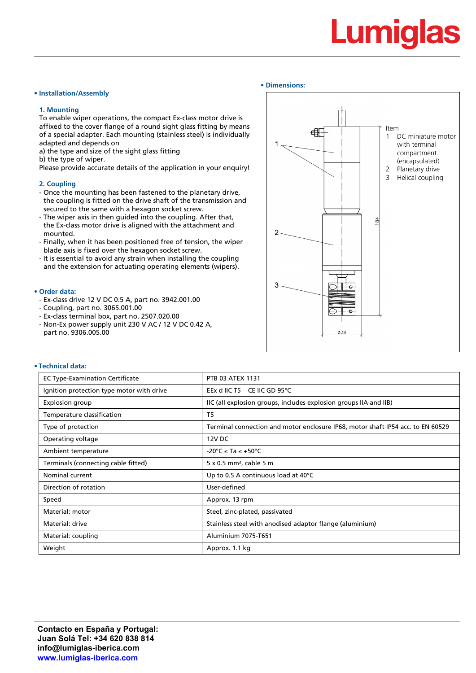# **Lumiglas**

#### **• Installation/Assembly**

#### **1. Mounting**

To enable wiper operations, the compact Ex-class motor drive is affixed to the cover flange of a round sight glass fitting by means of a special adapter. Each mounting (stainless steel) is individually adapted and depends on

a) the type and size of the sight glass fitting

b) the type of wiper.

Please provide accurate details of the application in your enquiry!

#### **2. Coupling**

- Once the mounting has been fastened to the planetary drive, the coupling is fitted on the drive shaft of the transmission and secured to the same with a hexagon socket screw.
- The wiper axis in then guided into the coupling. After that, the Ex-class motor drive is aligned with the attachment and mounted.
- Finally, when it has been positioned free of tension, the wiper blade axis is fixed over the hexagon socket screw.
- It is essential to avoid any strain when installing the coupling and the extension for actuating operating elements (wipers).

#### **• Order data:**

- Ex-class drive 12 V DC 0.5 A, part no. 3942.001.00
- Coupling, part no. 3065.001.00
- Ex-class terminal box, part no. 2507.020.00
- Non-Ex power supply unit 230 V AC / 12 V DC 0.42 A, part no. 9306.005.00

#### **• Dimensions:**

![](_page_2_Figure_18.jpeg)

#### **• Technical data:**

| <b>EC Type-Examination Certificate</b>    | <b>PTB 03 ATEX 1131</b>                                                         |
|-------------------------------------------|---------------------------------------------------------------------------------|
| Ignition protection type motor with drive | EEx d IIC T5 CE IIC GD 95°C                                                     |
| Explosion group                           | IIC (all explosion groups, includes explosion groups IIA and IIB)               |
| Temperature classification                | T5                                                                              |
| Type of protection                        | Terminal connection and motor enclosure IP68, motor shaft IP54 acc. to EN 60529 |
| Operating voltage                         | 12V DC                                                                          |
| Ambient temperature                       | $-20^{\circ}$ C $\leq$ Ta $\leq$ +50 $^{\circ}$ C                               |
| Terminals (connecting cable fitted)       | $5 \times 0.5$ mm <sup>2</sup> , cable 5 m                                      |
| Nominal current                           | Up to 0.5 A continuous load at 40°C                                             |
| Direction of rotation                     | User-defined                                                                    |
| Speed                                     | Approx. 13 rpm                                                                  |
| Material: motor                           | Steel, zinc-plated, passivated                                                  |
| Material: drive                           | Stainless steel with anodised adaptor flange (aluminium)                        |
| Material: coupling                        | Aluminium 7075-T651                                                             |
| Weight                                    | Approx. 1.1 kg                                                                  |